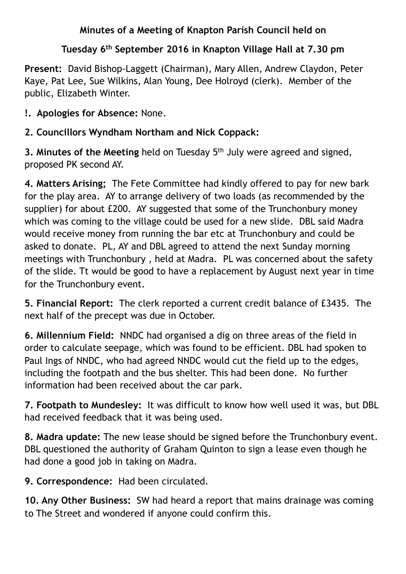## **Minutes of a Meeting of Knapton Parish Council held on**

## **Tuesday 6th September 2016 in Knapton Village Hall at 7.30 pm**

**Present:** David Bishop-Laggett (Chairman), Mary Allen, Andrew Claydon, Peter Kaye, Pat Lee, Sue Wilkins, Alan Young, Dee Holroyd (clerk). Member of the public, Elizabeth Winter.

## **!. Apologies for Absence:** None.

## **2. Councillors Wyndham Northam and Nick Coppack:**

**3. Minutes of the Meeting** held on Tuesday 5<sup>th</sup> July were agreed and signed, proposed PK second AY.

**4. Matters Arising;** The Fete Committee had kindly offered to pay for new bark for the play area. AY to arrange delivery of two loads (as recommended by the supplier) for about £200. AY suggested that some of the Trunchonbury money which was coming to the village could be used for a new slide. DBL said Madra would receive money from running the bar etc at Trunchonbury and could be asked to donate. PL, AY and DBL agreed to attend the next Sunday morning meetings with Trunchonbury , held at Madra. PL was concerned about the safety of the slide. Tt would be good to have a replacement by August next year in time for the Trunchonbury event.

**5. Financial Report:** The clerk reported a current credit balance of £3435. The next half of the precept was due in October.

**6. Millennium Field:** NNDC had organised a dig on three areas of the field in order to calculate seepage, which was found to be efficient. DBL had spoken to Paul Ings of NNDC, who had agreed NNDC would cut the field up to the edges, including the footpath and the bus shelter. This had been done. No further information had been received about the car park.

**7. Footpath to Mundesley:** It was difficult to know how well used it was, but DBL had received feedback that it was being used.

**8. Madra update:** The new lease should be signed before the Trunchonbury event. DBL questioned the authority of Graham Quinton to sign a lease even though he had done a good job in taking on Madra.

**9. Correspondence:** Had been circulated.

**10. Any Other Business:** SW had heard a report that mains drainage was coming to The Street and wondered if anyone could confirm this.